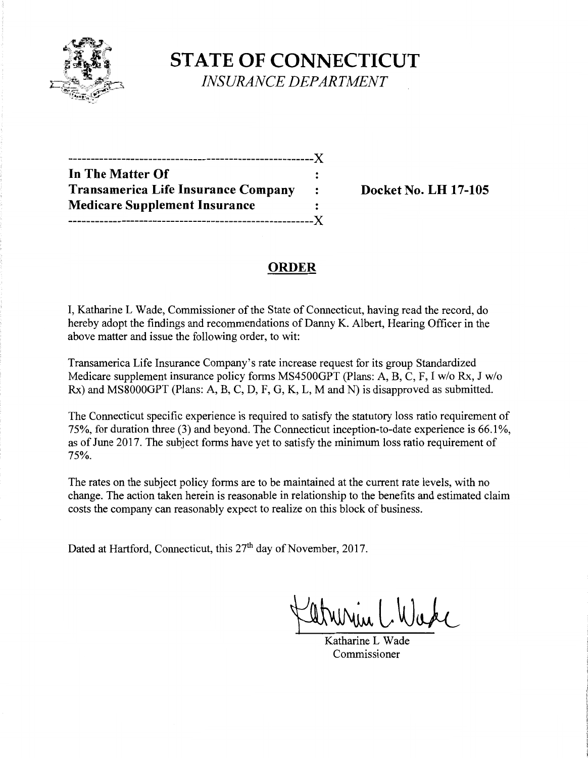

**STATE OF CONNECTICUT**  *INSURANCE DEPARTMENT* 

| In The Matter Of                           |                |
|--------------------------------------------|----------------|
| <b>Transamerica Life Insurance Company</b> | $\ddot{\cdot}$ |
| <b>Medicare Supplement Insurance</b>       |                |
| .______ <i>___</i> ____________________    | $-X$           |

**Transamerica Life Insurance Company Docket** No. **LH 17-105** 

# **ORDER**

I, Katharine L Wade, Commissioner of the State of Connecticut, having read the record, do hereby adopt the findings and recommendations of Danny K. Albert, Hearing Officer in the above matter and issue the following order, to wit:

Transamerica Life Insurance Company's rate increase request for its group Standardized Medicare supplement insurance policy forms MS4500GPT (Plans: A, B, C, F, I w/o Rx, J w/o Rx) and MS8000GPT (Plans: A, B, C, D, F, G, K, L, M and N) is disapproved as submitted.

The Connecticut specific experience is required to satisfy the statutory loss ratio requirement of 75%, for duration three (3) and beyond. The Connecticut inception-to-date experience is 66.1 %, as of June 2017. The subject forms have yet to satisfy the minimum loss ratio requirement of 75%.

The rates on the subject policy forms are to be maintained at the current rate levels, with no change. The action taken herein is reasonable in relationship to the benefits and estimated claim costs the company can reasonably expect to realize on this block of business.

Dated at Hartford, Connecticut, this 27<sup>th</sup> day of November, 2017.

Parmen Guard

Katharine L Wade Commissioner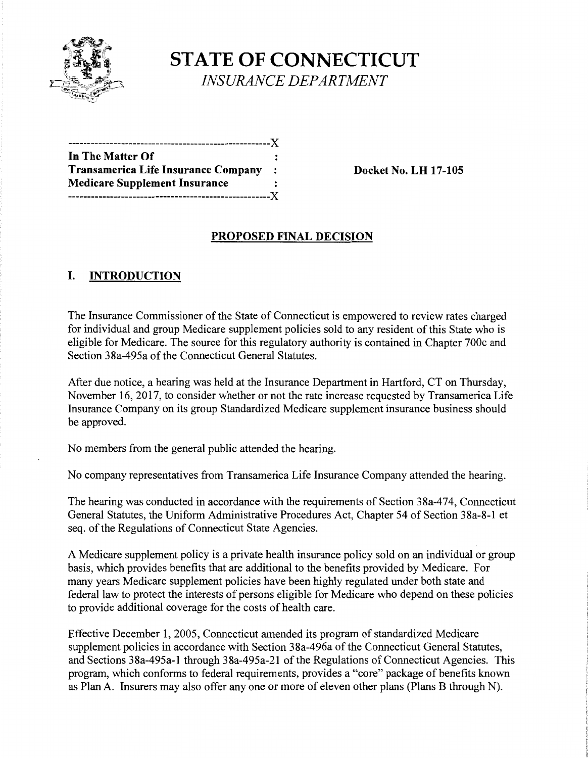

**STATE OF CONNECTICUT** *INSURANCE DEPARTMENT* 

| In The Matter Of                     |                |
|--------------------------------------|----------------|
| Transamerica Life Insurance Company  | $\mathbb{R}^2$ |
| <b>Medicare Supplement Insurance</b> |                |
| -------------------------------X     |                |

**Transamerica Life Insurance Company** : **Docket** No. **LH 17-105** 

#### **PROPOSED FINAL DECISION**

## **I. INTRODUCTION**

The Insurance Commissioner of the State of Connecticut is empowered to review rates charged for individual and group Medicare supplement policies sold to any resident of this State who is eligible for Medicare. The source for this regulatory authority is contained in Chapter 700c and Section 38a-495a of the Connecticut General Statutes.

After due notice, a hearing was held at the Insurance Department in Hartford, CT on Thursday, November 16, 2017, to consider whether or not the rate increase requested by Transamerica Life Insurance Company on its group Standardized Medicare supplement insurance business should be approved.

No members from the general public attended the hearing.

No company representatives from Transamerica Life Insurance Company attended the hearing.

The hearing was conducted in accordance with the requirements of Section 38a-474, Connecticut General Statutes, the Uniform Administrative Procedures Act, Chapter 54 of Section 38a-8-1 et seq. of the Regulations of Connecticut State Agencies.

A Medicare supplement policy is a private health insurance policy sold on an individual or group basis, which provides benefits that are additional to the benefits provided by Medicare. For many years Medicare supplement policies have been highly regulated under both state and federal law to protect the interests of persons eligible for Medicare who depend on these policies to provide additional coverage for the costs of health care.

Effective December 1, 2005, Connecticut amended its program of standardized Medicare supplement policies in accordance with Section 38a-496a of the Connecticut General Statutes, and Sections 38a-495a-1 through 38a-495a-21 of the Regulations of Connecticut Agencies. This program, which conforms to federal requirements, provides a "core" package of benefits known as Plan A. Insurers may also offer any one or more of eleven other plans (Plans B through N).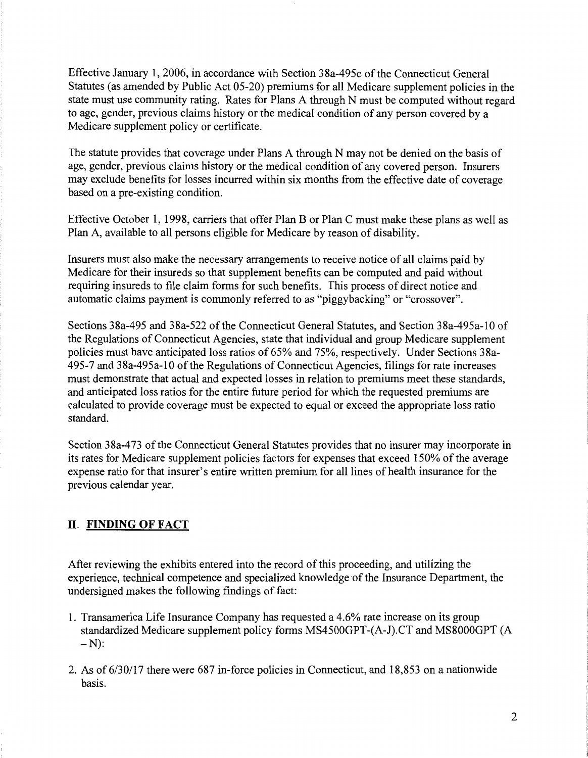Effective January 1, 2006, in accordance with Section 38a-495c ofthe Connecticut General Statutes (as amended by Public Act 05-20) premiums for all Medicare supplement policies in the state must use community rating. Rates for Plans A through N must be computed without regard to age, gender, previous claims history or the medical condition of any person covered by a Medicare supplement policy or certificate.

The statute provides that coverage under Plans A through N may not be denied on the basis of age, gender, previous claims history or the medical condition of any covered person. Insurers may exclude benefits for losses incurred within six months from the effective date of coverage based on a pre-existing condition.

Effective October 1, 1998, carriers that offer Plan B or Plan C must make these plans as well as Plan A, available to all persons eligible for Medicare by reason of disability.

Insurers must also make the necessary arrangements to receive notice of all claims paid by Medicare for their insureds so that supplement benefits can be computed and paid without requiring insureds to file claim forms for such benefits. This process of direct notice and automatic claims payment is commonly referred to as "piggybacking" or "crossover".

Sections 38a-495 and 38a-522 ofthe Connecticut General Statutes, and Section 38a-495a-10 of the Regulations of Connecticut Agencies, state that individual and group Medicare supplement policies must have anticipated loss ratios of 65% and 75%, respectively. Under Sections 38a-495-7 and 38a-495a-10 ofthe Regulations of Connecticut Agencies, filings for rate increases must demonstrate that actual and expected losses in relation to premiums meet these standards, and anticipated loss ratios for the entire future period for which the requested premiums are calculated to provide coverage must be expected to equal or exceed the appropriate loss ratio standard.

Section 38a-473 of the Connecticut General Statutes provides that no insurer may incorporate in its rates for Medicare supplement policies factors for expenses that exceed 150% of the average expense ratio for that insurer's entire written premium for all lines of health insurance for the previous calendar year.

## **II. FINDING OF FACT**

After reviewing the exhibits entered into the record of this proceeding, and utilizing the experience, technical competence and specialized knowledge of the Insurance Department, the undersigned makes the following findings of fact:

- 1. Transamerica Life Insurance Company has requested a 4.6% rate increase on its group standardized Medicare supplement policy forms MS4500GPT-(A-J).CT and MS8000GPT (A  $-N$ :
- 2. As of 6/30/17 there were 687 in-force policies in Connecticut, and 18,853 on a nationwide basis.